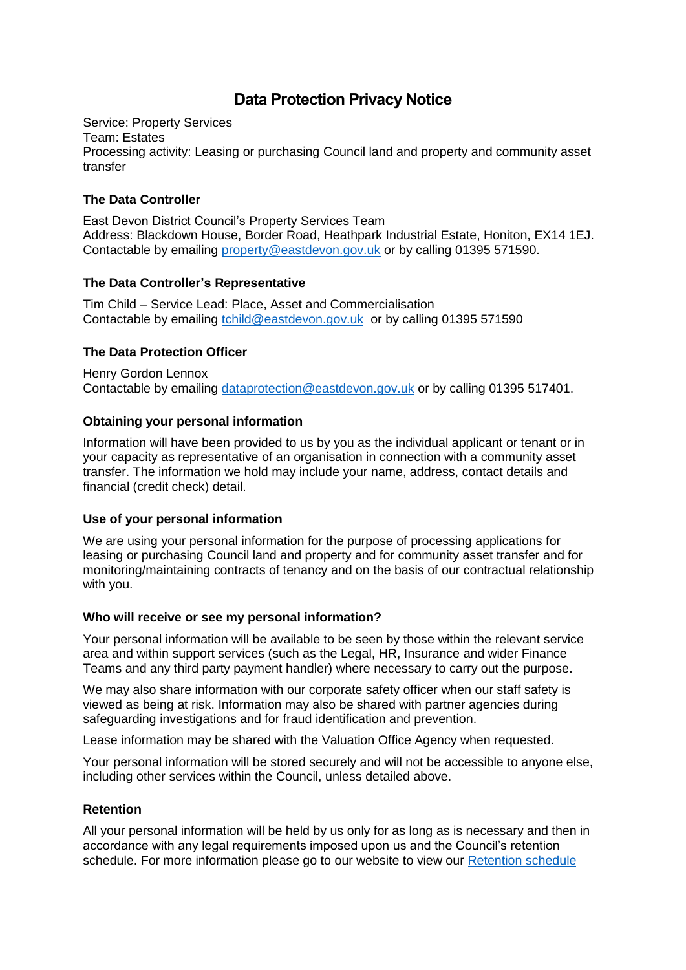# **Data Protection Privacy Notice**

Service: Property Services Team: Estates Processing activity: Leasing or purchasing Council land and property and community asset transfer

## **The Data Controller**

East Devon District Council's Property Services Team Address: Blackdown House, Border Road, Heathpark Industrial Estate, Honiton, EX14 1EJ. Contactable by emailing [property@eastdevon.gov.uk](mailto:property@eastdevon.gov.uk) or by calling 01395 571590.

## **The Data Controller's Representative**

Tim Child – Service Lead: Place, Asset and Commercialisation Contactable by emailing [tchild@eastdevon.gov.uk](mailto:tchild@eastdevon.gov.uk) or by calling 01395 571590

## **The Data Protection Officer**

Henry Gordon Lennox Contactable by emailing [dataprotection@eastdevon.gov.uk](mailto:dataprotection@eastdevon.gov.uk) or by calling 01395 517401.

## **Obtaining your personal information**

Information will have been provided to us by you as the individual applicant or tenant or in your capacity as representative of an organisation in connection with a community asset transfer. The information we hold may include your name, address, contact details and financial (credit check) detail.

## **Use of your personal information**

We are using your personal information for the purpose of processing applications for leasing or purchasing Council land and property and for community asset transfer and for monitoring/maintaining contracts of tenancy and on the basis of our contractual relationship with you.

## **Who will receive or see my personal information?**

Your personal information will be available to be seen by those within the relevant service area and within support services (such as the Legal, HR, Insurance and wider Finance Teams and any third party payment handler) where necessary to carry out the purpose.

We may also share information with our corporate safety officer when our staff safety is viewed as being at risk. Information may also be shared with partner agencies during safeguarding investigations and for fraud identification and prevention.

Lease information may be shared with the Valuation Office Agency when requested.

Your personal information will be stored securely and will not be accessible to anyone else, including other services within the Council, unless detailed above.

## **Retention**

All your personal information will be held by us only for as long as is necessary and then in accordance with any legal requirements imposed upon us and the Council's retention schedule. For more information please go to our website to view our [Retention schedule](http://eastdevon.gov.uk/access-to-information/data-protection/document-retention-schedules/)